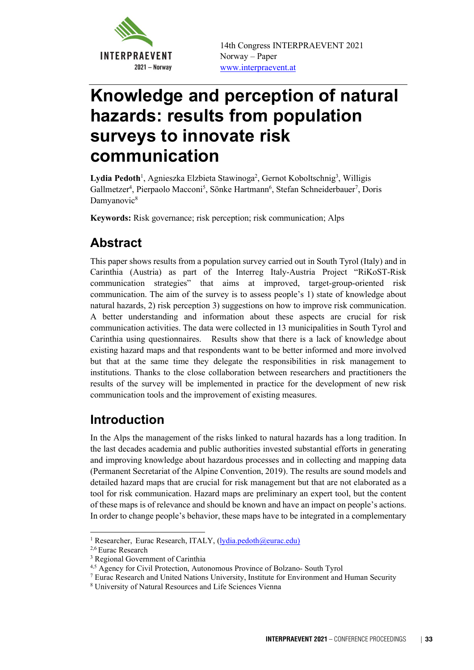

 14th Congress INTERPRAEVENT 2021 Norway – Paper www.interpraevent.at

# Knowledge and perception of natural hazards: results from population surveys to innovate risk communication

Lydia Pedoth<sup>1</sup>, Agnieszka Elzbieta Stawinoga<sup>2</sup>, Gernot Koboltschnig<sup>3</sup>, Willigis Gallmetzer<sup>4</sup>, Pierpaolo Macconi<sup>5</sup>, Sönke Hartmann<sup>6</sup>, Stefan Schneiderbauer<sup>7</sup>, Doris Damyanovic<sup>8</sup>

Keywords: Risk governance; risk perception; risk communication; Alps

## Abstract

This paper shows results from a population survey carried out in South Tyrol (Italy) and in Carinthia (Austria) as part of the Interreg Italy-Austria Project "RiKoST-Risk communication strategies" that aims at improved, target-group-oriented risk communication. The aim of the survey is to assess people's 1) state of knowledge about natural hazards, 2) risk perception 3) suggestions on how to improve risk communication. A better understanding and information about these aspects are crucial for risk communication activities. The data were collected in 13 municipalities in South Tyrol and Carinthia using questionnaires. Results show that there is a lack of knowledge about existing hazard maps and that respondents want to be better informed and more involved but that at the same time they delegate the responsibilities in risk management to institutions. Thanks to the close collaboration between researchers and practitioners the results of the survey will be implemented in practice for the development of new risk communication tools and the improvement of existing measures.

### Introduction

In the Alps the management of the risks linked to natural hazards has a long tradition. In the last decades academia and public authorities invested substantial efforts in generating and improving knowledge about hazardous processes and in collecting and mapping data (Permanent Secretariat of the Alpine Convention, 2019). The results are sound models and detailed hazard maps that are crucial for risk management but that are not elaborated as a tool for risk communication. Hazard maps are preliminary an expert tool, but the content of these maps is of relevance and should be known and have an impact on people's actions. In order to change people's behavior, these maps have to be integrated in a complementary

<sup>&</sup>lt;sup>1</sup> Researcher, Eurac Research, ITALY, (<u>lydia.pedoth@eurac.edu)</u><br><sup>2,6</sup> Eurac Research<br><sup>3</sup> Regional Government of Carinthia

<sup>&</sup>lt;sup>3</sup> Regional Government of Carinthia

<sup>&</sup>lt;sup>4,5</sup> Agency for Civil Protection, Autonomous Province of Bolzano- South Tyrol

Eurac Research and United Nations University, Institute for Environment and Human Security

<sup>8</sup> University of Natural Resources and Life Sciences Vienna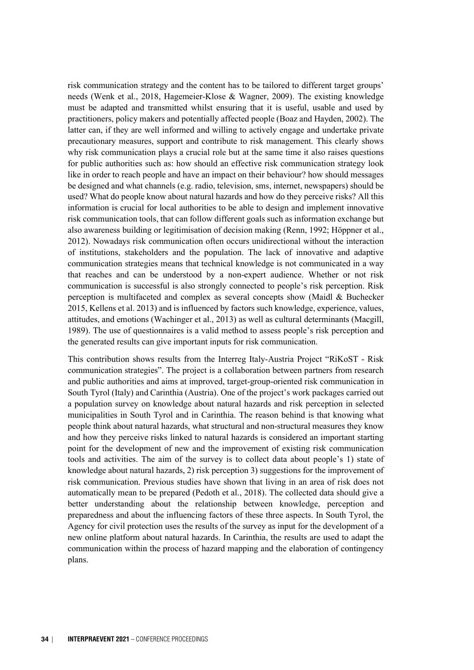risk communication strategy and the content has to be tailored to different target groups' needs (Wenk et al., 2018, Hagemeier-Klose & Wagner, 2009). The existing knowledge must be adapted and transmitted whilst ensuring that it is useful, usable and used by practitioners, policy makers and potentially affected people (Boaz and Hayden, 2002). The latter can, if they are well informed and willing to actively engage and undertake private precautionary measures, support and contribute to risk management. This clearly shows why risk communication plays a crucial role but at the same time it also raises questions for public authorities such as: how should an effective risk communication strategy look like in order to reach people and have an impact on their behaviour? how should messages be designed and what channels (e.g. radio, television, sms, internet, newspapers) should be used? What do people know about natural hazards and how do they perceive risks? All this information is crucial for local authorities to be able to design and implement innovative risk communication tools, that can follow different goals such as information exchange but also awareness building or legitimisation of decision making (Renn, 1992; Höppner et al., 2012). Nowadays risk communication often occurs unidirectional without the interaction of institutions, stakeholders and the population. The lack of innovative and adaptive communication strategies means that technical knowledge is not communicated in a way that reaches and can be understood by a non-expert audience. Whether or not risk communication is successful is also strongly connected to people's risk perception. Risk perception is multifaceted and complex as several concepts show (Maidl & Buchecker 2015, Kellens et al. 2013) and is influenced by factors such knowledge, experience, values, attitudes, and emotions (Wachinger et al., 2013) as well as cultural determinants (Macgill, 1989). The use of questionnaires is a valid method to assess people's risk perception and the generated results can give important inputs for risk communication.

This contribution shows results from the Interreg Italy-Austria Project "RiKoST - Risk communication strategies". The project is a collaboration between partners from research and public authorities and aims at improved, target-group-oriented risk communication in South Tyrol (Italy) and Carinthia (Austria). One of the project's work packages carried out a population survey on knowledge about natural hazards and risk perception in selected municipalities in South Tyrol and in Carinthia. The reason behind is that knowing what people think about natural hazards, what structural and non-structural measures they know and how they perceive risks linked to natural hazards is considered an important starting point for the development of new and the improvement of existing risk communication tools and activities. The aim of the survey is to collect data about people's 1) state of knowledge about natural hazards, 2) risk perception 3) suggestions for the improvement of risk communication. Previous studies have shown that living in an area of risk does not automatically mean to be prepared (Pedoth et al., 2018). The collected data should give a better understanding about the relationship between knowledge, perception and preparedness and about the influencing factors of these three aspects. In South Tyrol, the Agency for civil protection uses the results of the survey as input for the development of a new online platform about natural hazards. In Carinthia, the results are used to adapt the communication within the process of hazard mapping and the elaboration of contingency plans.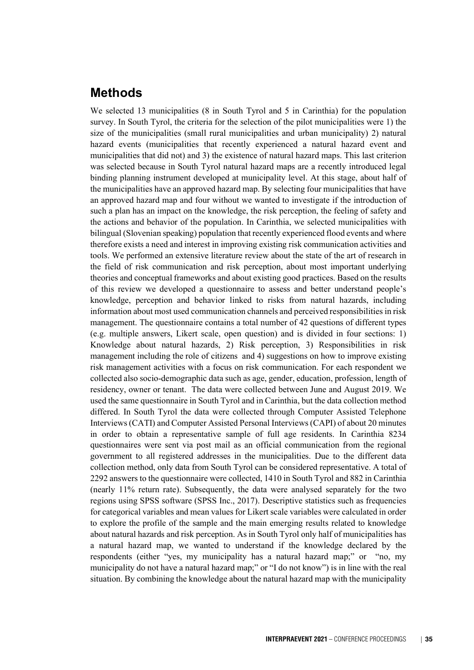#### Methods

We selected 13 municipalities (8 in South Tyrol and 5 in Carinthia) for the population survey. In South Tyrol, the criteria for the selection of the pilot municipalities were 1) the size of the municipalities (small rural municipalities and urban municipality) 2) natural hazard events (municipalities that recently experienced a natural hazard event and municipalities that did not) and 3) the existence of natural hazard maps. This last criterion was selected because in South Tyrol natural hazard maps are a recently introduced legal binding planning instrument developed at municipality level. At this stage, about half of the municipalities have an approved hazard map. By selecting four municipalities that have an approved hazard map and four without we wanted to investigate if the introduction of such a plan has an impact on the knowledge, the risk perception, the feeling of safety and the actions and behavior of the population. In Carinthia, we selected municipalities with bilingual (Slovenian speaking) population that recently experienced flood events and where therefore exists a need and interest in improving existing risk communication activities and tools. We performed an extensive literature review about the state of the art of research in the field of risk communication and risk perception, about most important underlying theories and conceptual frameworks and about existing good practices. Based on the results of this review we developed a questionnaire to assess and better understand people's knowledge, perception and behavior linked to risks from natural hazards, including information about most used communication channels and perceived responsibilities in risk management. The questionnaire contains a total number of 42 questions of different types (e.g. multiple answers, Likert scale, open question) and is divided in four sections: 1) Knowledge about natural hazards, 2) Risk perception, 3) Responsibilities in risk management including the role of citizens and 4) suggestions on how to improve existing risk management activities with a focus on risk communication. For each respondent we collected also socio-demographic data such as age, gender, education, profession, length of residency, owner or tenant. The data were collected between June and August 2019. We used the same questionnaire in South Tyrol and in Carinthia, but the data collection method differed. In South Tyrol the data were collected through Computer Assisted Telephone Interviews (CATI) and Computer Assisted Personal Interviews (CAPI) of about 20 minutes in order to obtain a representative sample of full age residents. In Carinthia 8234 questionnaires were sent via post mail as an official communication from the regional government to all registered addresses in the municipalities. Due to the different data collection method, only data from South Tyrol can be considered representative. A total of 2292 answers to the questionnaire were collected, 1410 in South Tyrol and 882 in Carinthia (nearly 11% return rate). Subsequently, the data were analysed separately for the two regions using SPSS software (SPSS Inc., 2017). Descriptive statistics such as frequencies for categorical variables and mean values for Likert scale variables were calculated in order to explore the profile of the sample and the main emerging results related to knowledge about natural hazards and risk perception. As in South Tyrol only half of municipalities has a natural hazard map, we wanted to understand if the knowledge declared by the respondents (either "yes, my municipality has a natural hazard map;" or "no, my municipality do not have a natural hazard map;" or "I do not know") is in line with the real situation. By combining the knowledge about the natural hazard map with the municipality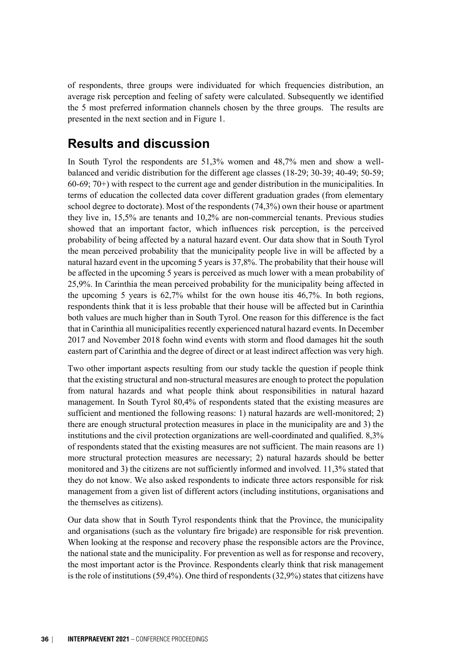of respondents, three groups were individuated for which frequencies distribution, an average risk perception and feeling of safety were calculated. Subsequently we identified the 5 most preferred information channels chosen by the three groups. The results are presented in the next section and in Figure 1.

#### Results and discussion

In South Tyrol the respondents are 51,3% women and 48,7% men and show a wellbalanced and veridic distribution for the different age classes (18-29; 30-39; 40-49; 50-59; 60-69; 70+) with respect to the current age and gender distribution in the municipalities. In terms of education the collected data cover different graduation grades (from elementary school degree to doctorate). Most of the respondents (74,3%) own their house or apartment they live in, 15,5% are tenants and 10,2% are non-commercial tenants. Previous studies showed that an important factor, which influences risk perception, is the perceived probability of being affected by a natural hazard event. Our data show that in South Tyrol the mean perceived probability that the municipality people live in will be affected by a natural hazard event in the upcoming 5 years is 37,8%. The probability that their house will be affected in the upcoming 5 years is perceived as much lower with a mean probability of 25,9%. In Carinthia the mean perceived probability for the municipality being affected in the upcoming 5 years is 62,7% whilst for the own house itis 46,7%. In both regions, respondents think that it is less probable that their house will be affected but in Carinthia both values are much higher than in South Tyrol. One reason for this difference is the fact that in Carinthia all municipalities recently experienced natural hazard events. In December 2017 and November 2018 foehn wind events with storm and flood damages hit the south eastern part of Carinthia and the degree of direct or at least indirect affection was very high.

Two other important aspects resulting from our study tackle the question if people think that the existing structural and non-structural measures are enough to protect the population from natural hazards and what people think about responsibilities in natural hazard management. In South Tyrol 80,4% of respondents stated that the existing measures are sufficient and mentioned the following reasons: 1) natural hazards are well-monitored; 2) there are enough structural protection measures in place in the municipality are and 3) the institutions and the civil protection organizations are well-coordinated and qualified. 8,3% of respondents stated that the existing measures are not sufficient. The main reasons are 1) more structural protection measures are necessary; 2) natural hazards should be better monitored and 3) the citizens are not sufficiently informed and involved. 11,3% stated that they do not know. We also asked respondents to indicate three actors responsible for risk management from a given list of different actors (including institutions, organisations and the themselves as citizens).

Our data show that in South Tyrol respondents think that the Province, the municipality and organisations (such as the voluntary fire brigade) are responsible for risk prevention. When looking at the response and recovery phase the responsible actors are the Province, the national state and the municipality. For prevention as well as for response and recovery, the most important actor is the Province. Respondents clearly think that risk management is the role of institutions  $(59,4\%)$ . One third of respondents  $(32,9\%)$  states that citizens have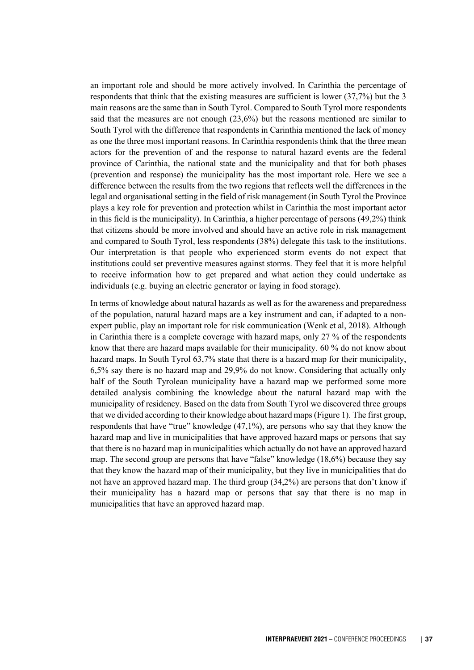an important role and should be more actively involved. In Carinthia the percentage of respondents that think that the existing measures are sufficient is lower (37,7%) but the 3 main reasons are the same than in South Tyrol. Compared to South Tyrol more respondents said that the measures are not enough (23,6%) but the reasons mentioned are similar to South Tyrol with the difference that respondents in Carinthia mentioned the lack of money as one the three most important reasons. In Carinthia respondents think that the three mean actors for the prevention of and the response to natural hazard events are the federal province of Carinthia, the national state and the municipality and that for both phases (prevention and response) the municipality has the most important role. Here we see a difference between the results from the two regions that reflects well the differences in the legal and organisational setting in the field of risk management (in South Tyrol the Province plays a key role for prevention and protection whilst in Carinthia the most important actor in this field is the municipality). In Carinthia, a higher percentage of persons (49,2%) think that citizens should be more involved and should have an active role in risk management and compared to South Tyrol, less respondents (38%) delegate this task to the institutions. Our interpretation is that people who experienced storm events do not expect that institutions could set preventive measures against storms. They feel that it is more helpful to receive information how to get prepared and what action they could undertake as individuals (e.g. buying an electric generator or laying in food storage).

In terms of knowledge about natural hazards as well as for the awareness and preparedness of the population, natural hazard maps are a key instrument and can, if adapted to a nonexpert public, play an important role for risk communication (Wenk et al, 2018). Although in Carinthia there is a complete coverage with hazard maps, only 27 % of the respondents know that there are hazard maps available for their municipality. 60 % do not know about hazard maps. In South Tyrol 63,7% state that there is a hazard map for their municipality, 6,5% say there is no hazard map and 29,9% do not know. Considering that actually only half of the South Tyrolean municipality have a hazard map we performed some more detailed analysis combining the knowledge about the natural hazard map with the municipality of residency. Based on the data from South Tyrol we discovered three groups that we divided according to their knowledge about hazard maps (Figure 1). The first group, respondents that have "true" knowledge (47,1%), are persons who say that they know the hazard map and live in municipalities that have approved hazard maps or persons that say that there is no hazard map in municipalities which actually do not have an approved hazard map. The second group are persons that have "false" knowledge (18,6%) because they say that they know the hazard map of their municipality, but they live in municipalities that do not have an approved hazard map. The third group (34,2%) are persons that don't know if their municipality has a hazard map or persons that say that there is no map in municipalities that have an approved hazard map.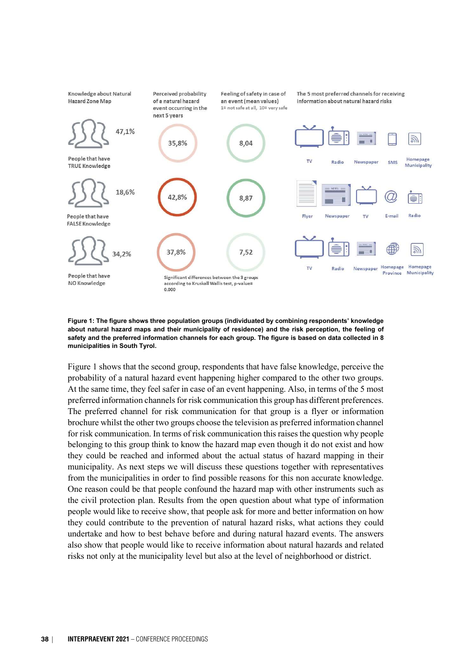

#### Figure 1: The figure shows three population groups (individuated by combining respondents' knowledge about natural hazard maps and their municipality of residence) and the risk perception, the feeling of safety and the preferred information channels for each group. The figure is based on data collected in 8 municipalities in South Tyrol.

Figure 1 shows that the second group, respondents that have false knowledge, perceive the probability of a natural hazard event happening higher compared to the other two groups. At the same time, they feel safer in case of an event happening. Also, in terms of the 5 most preferred information channels for risk communication this group has different preferences. The preferred channel for risk communication for that group is a flyer or information brochure whilst the other two groups choose the television as preferred information channel for risk communication. In terms of risk communication this raises the question why people belonging to this group think to know the hazard map even though it do not exist and how they could be reached and informed about the actual status of hazard mapping in their municipality. As next steps we will discuss these questions together with representatives from the municipalities in order to find possible reasons for this non accurate knowledge. One reason could be that people confound the hazard map with other instruments such as the civil protection plan. Results from the open question about what type of information people would like to receive show, that people ask for more and better information on how they could contribute to the prevention of natural hazard risks, what actions they could undertake and how to best behave before and during natural hazard events. The answers also show that people would like to receive information about natural hazards and related risks not only at the municipality level but also at the level of neighborhood or district.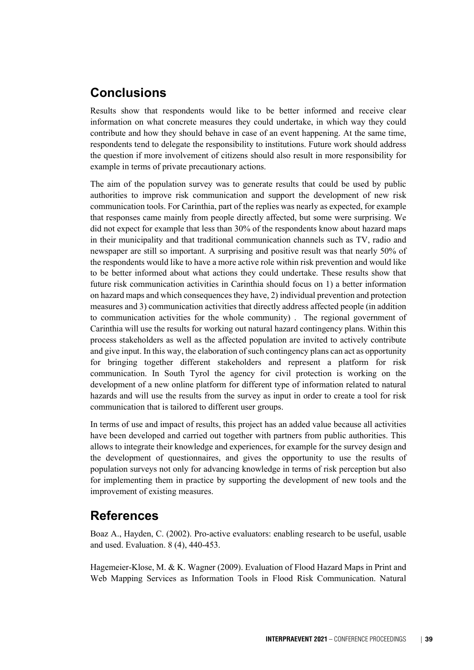#### **Conclusions**

Results show that respondents would like to be better informed and receive clear information on what concrete measures they could undertake, in which way they could contribute and how they should behave in case of an event happening. At the same time, respondents tend to delegate the responsibility to institutions. Future work should address the question if more involvement of citizens should also result in more responsibility for example in terms of private precautionary actions.

The aim of the population survey was to generate results that could be used by public authorities to improve risk communication and support the development of new risk communication tools. For Carinthia, part of the replies was nearly as expected, for example that responses came mainly from people directly affected, but some were surprising. We did not expect for example that less than 30% of the respondents know about hazard maps in their municipality and that traditional communication channels such as TV, radio and newspaper are still so important. A surprising and positive result was that nearly 50% of the respondents would like to have a more active role within risk prevention and would like to be better informed about what actions they could undertake. These results show that future risk communication activities in Carinthia should focus on 1) a better information on hazard maps and which consequences they have, 2) individual prevention and protection measures and 3) communication activities that directly address affected people (in addition to communication activities for the whole community) . The regional government of Carinthia will use the results for working out natural hazard contingency plans. Within this process stakeholders as well as the affected population are invited to actively contribute and give input. In this way, the elaboration of such contingency plans can act as opportunity for bringing together different stakeholders and represent a platform for risk communication. In South Tyrol the agency for civil protection is working on the development of a new online platform for different type of information related to natural hazards and will use the results from the survey as input in order to create a tool for risk communication that is tailored to different user groups.

In terms of use and impact of results, this project has an added value because all activities have been developed and carried out together with partners from public authorities. This allows to integrate their knowledge and experiences, for example for the survey design and the development of questionnaires, and gives the opportunity to use the results of population surveys not only for advancing knowledge in terms of risk perception but also for implementing them in practice by supporting the development of new tools and the improvement of existing measures.

#### References

Boaz A., Hayden, C. (2002). Pro-active evaluators: enabling research to be useful, usable and used. Evaluation. 8 (4), 440-453.

Hagemeier-Klose, M. & K. Wagner (2009). Evaluation of Flood Hazard Maps in Print and Web Mapping Services as Information Tools in Flood Risk Communication. Natural